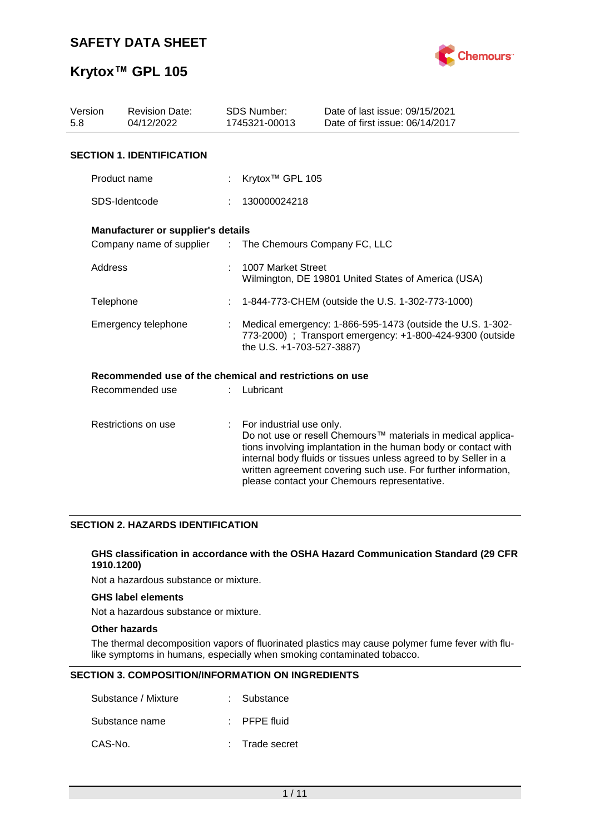

## **Krytox™ GPL 105**

| Version<br>5.8      | <b>Revision Date:</b><br>04/12/2022                     |  | <b>SDS Number:</b><br>1745321-00013                                                                                                                  | Date of last issue: 09/15/2021<br>Date of first issue: 06/14/2017                                                                                                                                                                                                                                                  |  |
|---------------------|---------------------------------------------------------|--|------------------------------------------------------------------------------------------------------------------------------------------------------|--------------------------------------------------------------------------------------------------------------------------------------------------------------------------------------------------------------------------------------------------------------------------------------------------------------------|--|
|                     | <b>SECTION 1. IDENTIFICATION</b>                        |  |                                                                                                                                                      |                                                                                                                                                                                                                                                                                                                    |  |
|                     | Product name                                            |  | Krytox <sup>™</sup> GPL 105                                                                                                                          |                                                                                                                                                                                                                                                                                                                    |  |
|                     | SDS-Identcode                                           |  | 130000024218                                                                                                                                         |                                                                                                                                                                                                                                                                                                                    |  |
|                     | Manufacturer or supplier's details                      |  |                                                                                                                                                      |                                                                                                                                                                                                                                                                                                                    |  |
|                     | Company name of supplier : The Chemours Company FC, LLC |  |                                                                                                                                                      |                                                                                                                                                                                                                                                                                                                    |  |
|                     | Address                                                 |  | 1007 Market Street<br>Wilmington, DE 19801 United States of America (USA)                                                                            |                                                                                                                                                                                                                                                                                                                    |  |
| Telephone           |                                                         |  |                                                                                                                                                      | 1-844-773-CHEM (outside the U.S. 1-302-773-1000)                                                                                                                                                                                                                                                                   |  |
| Emergency telephone |                                                         |  | Medical emergency: 1-866-595-1473 (outside the U.S. 1-302-<br>773-2000) ; Transport emergency: +1-800-424-9300 (outside<br>the U.S. +1-703-527-3887) |                                                                                                                                                                                                                                                                                                                    |  |
|                     | Recommended use of the chemical and restrictions on use |  |                                                                                                                                                      |                                                                                                                                                                                                                                                                                                                    |  |
|                     | Recommended use                                         |  | Lubricant                                                                                                                                            |                                                                                                                                                                                                                                                                                                                    |  |
| Restrictions on use |                                                         |  | For industrial use only.                                                                                                                             | Do not use or resell Chemours™ materials in medical applica-<br>tions involving implantation in the human body or contact with<br>internal body fluids or tissues unless agreed to by Seller in a<br>written agreement covering such use. For further information,<br>please contact your Chemours representative. |  |

### **SECTION 2. HAZARDS IDENTIFICATION**

#### **GHS classification in accordance with the OSHA Hazard Communication Standard (29 CFR 1910.1200)**

Not a hazardous substance or mixture.

#### **GHS label elements**

Not a hazardous substance or mixture.

#### **Other hazards**

The thermal decomposition vapors of fluorinated plastics may cause polymer fume fever with flulike symptoms in humans, especially when smoking contaminated tobacco.

### **SECTION 3. COMPOSITION/INFORMATION ON INGREDIENTS**

| Substance / Mixture | : Substance             |
|---------------------|-------------------------|
| Substance name      | $\therefore$ PFPE fluid |
| CAS-No.             | : Trade secret          |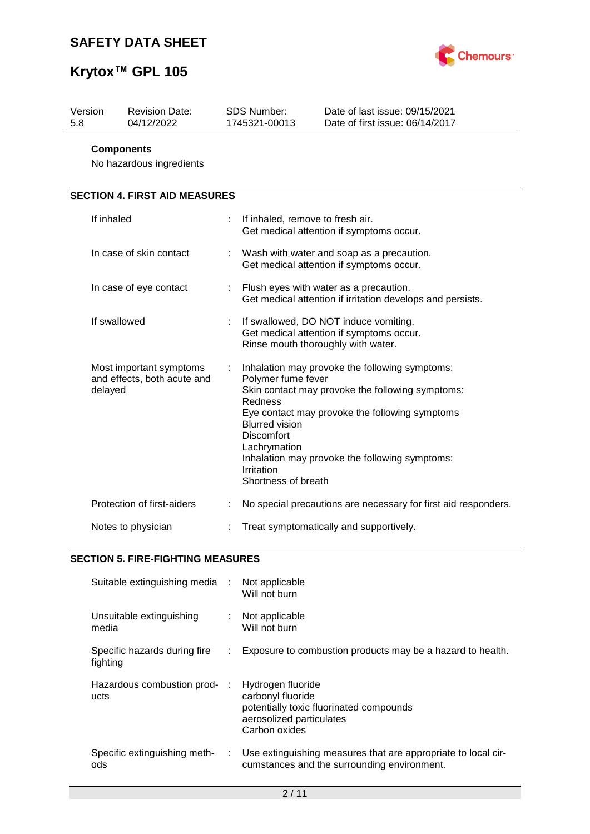

| Version<br>5.8 | <b>Revision Date:</b><br>04/12/2022                    | SDS Number:<br>1745321-00013                                                                                                     | Date of last issue: 09/15/2021<br>Date of first issue: 06/14/2017                                                                                                                                      |
|----------------|--------------------------------------------------------|----------------------------------------------------------------------------------------------------------------------------------|--------------------------------------------------------------------------------------------------------------------------------------------------------------------------------------------------------|
|                | <b>Components</b><br>No hazardous ingredients          |                                                                                                                                  |                                                                                                                                                                                                        |
|                | <b>SECTION 4. FIRST AID MEASURES</b>                   |                                                                                                                                  |                                                                                                                                                                                                        |
| If inhaled     |                                                        | If inhaled, remove to fresh air.                                                                                                 | Get medical attention if symptoms occur.                                                                                                                                                               |
|                | In case of skin contact                                |                                                                                                                                  | Wash with water and soap as a precaution.<br>Get medical attention if symptoms occur.                                                                                                                  |
|                | In case of eye contact                                 |                                                                                                                                  | Flush eyes with water as a precaution.<br>Get medical attention if irritation develops and persists.                                                                                                   |
|                | If swallowed                                           |                                                                                                                                  | If swallowed, DO NOT induce vomiting.<br>Get medical attention if symptoms occur.<br>Rinse mouth thoroughly with water.                                                                                |
| delayed        | Most important symptoms<br>and effects, both acute and | Polymer fume fever<br>Redness<br><b>Blurred vision</b><br><b>Discomfort</b><br>Lachrymation<br>Irritation<br>Shortness of breath | Inhalation may provoke the following symptoms:<br>Skin contact may provoke the following symptoms:<br>Eye contact may provoke the following symptoms<br>Inhalation may provoke the following symptoms: |
|                | Protection of first-aiders                             |                                                                                                                                  | No special precautions are necessary for first aid responders.                                                                                                                                         |
|                | Notes to physician                                     |                                                                                                                                  | Treat symptomatically and supportively.                                                                                                                                                                |

## **SECTION 5. FIRE-FIGHTING MEASURES**

| Suitable extinguishing media :           |    | Not applicable<br>Will not burn                                                                                                |
|------------------------------------------|----|--------------------------------------------------------------------------------------------------------------------------------|
| Unsuitable extinguishing<br>media        | ÷. | Not applicable<br>Will not burn                                                                                                |
| Specific hazards during fire<br>fighting | ÷. | Exposure to combustion products may be a hazard to health.                                                                     |
| Hazardous combustion prod-<br>ucts       |    | Hydrogen fluoride<br>carbonyl fluoride<br>potentially toxic fluorinated compounds<br>aerosolized particulates<br>Carbon oxides |
| Specific extinguishing meth-<br>ods      |    | : Use extinguishing measures that are appropriate to local cir-<br>cumstances and the surrounding environment.                 |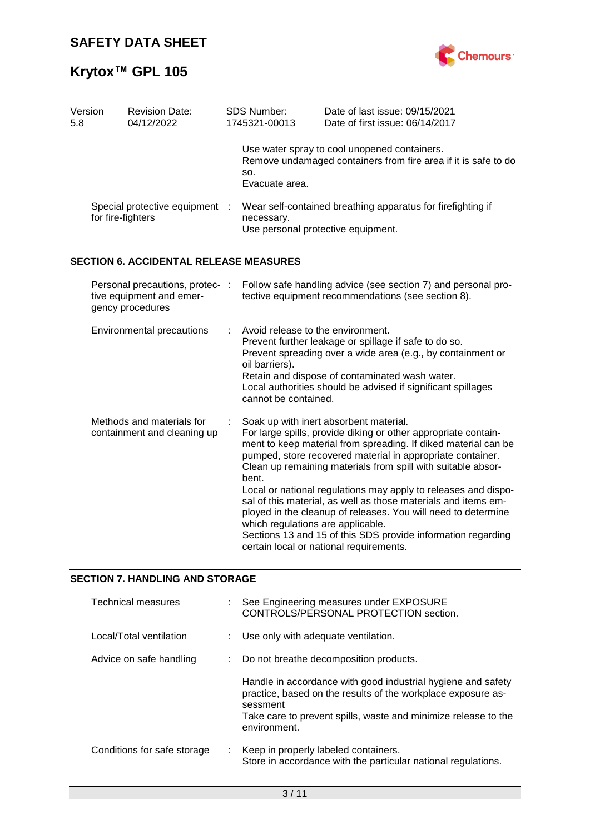

| Version<br>5.8 | <b>Revision Date:</b><br>04/12/2022                                             | SDS Number:<br>1745321-00013                                                | Date of last issue: 09/15/2021<br>Date of first issue: 06/14/2017                                                                                                                                                                                                                                                                                                                                                                                                                                                                                                                                                        |
|----------------|---------------------------------------------------------------------------------|-----------------------------------------------------------------------------|--------------------------------------------------------------------------------------------------------------------------------------------------------------------------------------------------------------------------------------------------------------------------------------------------------------------------------------------------------------------------------------------------------------------------------------------------------------------------------------------------------------------------------------------------------------------------------------------------------------------------|
|                |                                                                                 | SO.<br>Evacuate area.                                                       | Use water spray to cool unopened containers.<br>Remove undamaged containers from fire area if it is safe to do                                                                                                                                                                                                                                                                                                                                                                                                                                                                                                           |
|                | Special protective equipment :<br>for fire-fighters                             | necessary.                                                                  | Wear self-contained breathing apparatus for firefighting if<br>Use personal protective equipment.                                                                                                                                                                                                                                                                                                                                                                                                                                                                                                                        |
|                | <b>SECTION 6. ACCIDENTAL RELEASE MEASURES</b>                                   |                                                                             |                                                                                                                                                                                                                                                                                                                                                                                                                                                                                                                                                                                                                          |
|                | Personal precautions, protec- :<br>tive equipment and emer-<br>gency procedures |                                                                             | Follow safe handling advice (see section 7) and personal pro-<br>tective equipment recommendations (see section 8).                                                                                                                                                                                                                                                                                                                                                                                                                                                                                                      |
|                | Environmental precautions                                                       | Avoid release to the environment.<br>oil barriers).<br>cannot be contained. | Prevent further leakage or spillage if safe to do so.<br>Prevent spreading over a wide area (e.g., by containment or<br>Retain and dispose of contaminated wash water.<br>Local authorities should be advised if significant spillages                                                                                                                                                                                                                                                                                                                                                                                   |
|                | Methods and materials for<br>containment and cleaning up                        | bent.<br>which regulations are applicable.                                  | Soak up with inert absorbent material.<br>For large spills, provide diking or other appropriate contain-<br>ment to keep material from spreading. If diked material can be<br>pumped, store recovered material in appropriate container.<br>Clean up remaining materials from spill with suitable absor-<br>Local or national regulations may apply to releases and dispo-<br>sal of this material, as well as those materials and items em-<br>ployed in the cleanup of releases. You will need to determine<br>Sections 13 and 15 of this SDS provide information regarding<br>certain local or national requirements. |

## **SECTION 7. HANDLING AND STORAGE**

| Technical measures          |     | See Engineering measures under EXPOSURE<br>CONTROLS/PERSONAL PROTECTION section.                                                                                                                                           |
|-----------------------------|-----|----------------------------------------------------------------------------------------------------------------------------------------------------------------------------------------------------------------------------|
| Local/Total ventilation     |     | Use only with adequate ventilation.                                                                                                                                                                                        |
| Advice on safe handling     | t i | Do not breathe decomposition products.                                                                                                                                                                                     |
|                             |     | Handle in accordance with good industrial hygiene and safety<br>practice, based on the results of the workplace exposure as-<br>sessment<br>Take care to prevent spills, waste and minimize release to the<br>environment. |
| Conditions for safe storage | t.  | Keep in properly labeled containers.<br>Store in accordance with the particular national regulations.                                                                                                                      |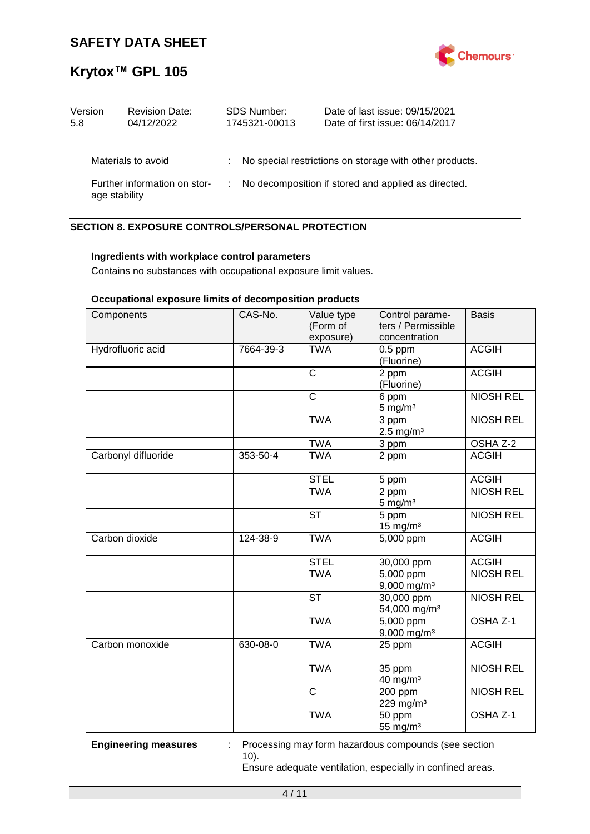

| Version<br>5.8 | <b>Revision Date:</b><br>04/12/2022 | <b>SDS Number:</b><br>1745321-00013 | Date of last issue: 09/15/2021<br>Date of first issue: 06/14/2017 |
|----------------|-------------------------------------|-------------------------------------|-------------------------------------------------------------------|
|                | Materials to avoid                  |                                     | : No special restrictions on storage with other products.         |
| age stability  | Further information on stor-        |                                     | No decomposition if stored and applied as directed.               |

## **SECTION 8. EXPOSURE CONTROLS/PERSONAL PROTECTION**

## **Ingredients with workplace control parameters**

Contains no substances with occupational exposure limit values.

## **Occupational exposure limits of decomposition products**

| Components          | CAS-No.   | Value type<br>(Form of<br>exposure) | Control parame-<br>ters / Permissible<br>concentration | <b>Basis</b>     |
|---------------------|-----------|-------------------------------------|--------------------------------------------------------|------------------|
| Hydrofluoric acid   | 7664-39-3 | <b>TWA</b>                          | $0.5$ ppm<br>(Fluorine)                                | <b>ACGIH</b>     |
|                     |           | $\overline{\text{c}}$               | 2 ppm<br>(Fluorine)                                    | <b>ACGIH</b>     |
|                     |           | $\overline{\text{c}}$               | 6 ppm<br>$5 \text{ mg/m}^3$                            | <b>NIOSH REL</b> |
|                     |           | <b>TWA</b>                          | 3 ppm<br>$2.5$ mg/m <sup>3</sup>                       | <b>NIOSH REL</b> |
|                     |           | <b>TWA</b>                          | 3 ppm                                                  | OSHA Z-2         |
| Carbonyl difluoride | 353-50-4  | <b>TWA</b>                          | 2 ppm                                                  | <b>ACGIH</b>     |
|                     |           | <b>STEL</b>                         | 5 ppm                                                  | <b>ACGIH</b>     |
|                     |           | <b>TWA</b>                          | 2 ppm<br>$5$ mg/m <sup>3</sup>                         | <b>NIOSH REL</b> |
|                     |           | <b>ST</b>                           | 5 ppm<br>$15$ mg/m <sup>3</sup>                        | <b>NIOSH REL</b> |
| Carbon dioxide      | 124-38-9  | <b>TWA</b>                          | 5,000 ppm                                              | <b>ACGIH</b>     |
|                     |           | <b>STEL</b>                         | 30,000 ppm                                             | <b>ACGIH</b>     |
|                     |           | <b>TWA</b>                          | $5,000$ ppm<br>9,000 mg/m <sup>3</sup>                 | <b>NIOSH REL</b> |
|                     |           | <b>ST</b>                           | 30,000 ppm<br>54,000 mg/m <sup>3</sup>                 | <b>NIOSH REL</b> |
|                     |           | <b>TWA</b>                          | 5,000 ppm<br>$9,000$ mg/m <sup>3</sup>                 | OSHA Z-1         |
| Carbon monoxide     | 630-08-0  | <b>TWA</b>                          | 25 ppm                                                 | <b>ACGIH</b>     |
|                     |           | <b>TWA</b>                          | 35 ppm<br>$40$ mg/m <sup>3</sup>                       | <b>NIOSH REL</b> |
|                     |           | $\overline{\text{c}}$               | 200 ppm<br>229 mg/m <sup>3</sup>                       | <b>NIOSH REL</b> |
|                     |           | <b>TWA</b>                          | 50 ppm<br>55 mg/m <sup>3</sup>                         | OSHA Z-1         |

**Engineering measures** : Processing may form hazardous compounds (see section 10).

Ensure adequate ventilation, especially in confined areas.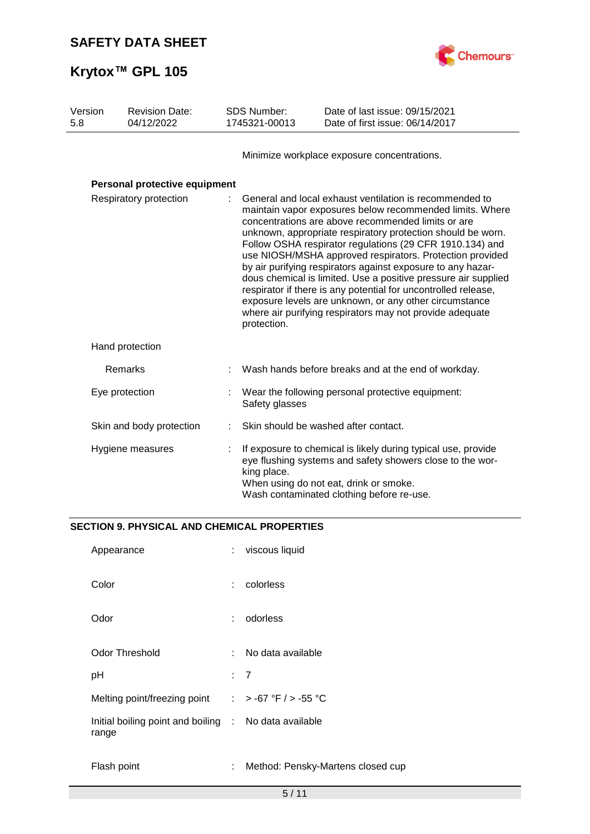

| Version<br>5.8 | <b>Revision Date:</b><br>04/12/2022 | <b>SDS Number:</b><br>1745321-00013 | Date of last issue: 09/15/2021<br>Date of first issue: 06/14/2017                                                                                                                                                                                                                                                                                                                                                                                                                                                                                                                                                                                                                         |
|----------------|-------------------------------------|-------------------------------------|-------------------------------------------------------------------------------------------------------------------------------------------------------------------------------------------------------------------------------------------------------------------------------------------------------------------------------------------------------------------------------------------------------------------------------------------------------------------------------------------------------------------------------------------------------------------------------------------------------------------------------------------------------------------------------------------|
|                |                                     |                                     | Minimize workplace exposure concentrations.                                                                                                                                                                                                                                                                                                                                                                                                                                                                                                                                                                                                                                               |
|                | Personal protective equipment       |                                     |                                                                                                                                                                                                                                                                                                                                                                                                                                                                                                                                                                                                                                                                                           |
|                | Respiratory protection              | protection.                         | General and local exhaust ventilation is recommended to<br>maintain vapor exposures below recommended limits. Where<br>concentrations are above recommended limits or are<br>unknown, appropriate respiratory protection should be worn.<br>Follow OSHA respirator regulations (29 CFR 1910.134) and<br>use NIOSH/MSHA approved respirators. Protection provided<br>by air purifying respirators against exposure to any hazar-<br>dous chemical is limited. Use a positive pressure air supplied<br>respirator if there is any potential for uncontrolled release,<br>exposure levels are unknown, or any other circumstance<br>where air purifying respirators may not provide adequate |
|                | Hand protection                     |                                     |                                                                                                                                                                                                                                                                                                                                                                                                                                                                                                                                                                                                                                                                                           |
|                | Remarks                             |                                     | Wash hands before breaks and at the end of workday.                                                                                                                                                                                                                                                                                                                                                                                                                                                                                                                                                                                                                                       |
|                | Eye protection                      | Safety glasses                      | Wear the following personal protective equipment:                                                                                                                                                                                                                                                                                                                                                                                                                                                                                                                                                                                                                                         |
|                | Skin and body protection            |                                     | Skin should be washed after contact.                                                                                                                                                                                                                                                                                                                                                                                                                                                                                                                                                                                                                                                      |
|                | Hygiene measures                    | king place.                         | If exposure to chemical is likely during typical use, provide<br>eye flushing systems and safety showers close to the wor-<br>When using do not eat, drink or smoke.<br>Wash contaminated clothing before re-use.                                                                                                                                                                                                                                                                                                                                                                                                                                                                         |

## **SECTION 9. PHYSICAL AND CHEMICAL PROPERTIES**

| Appearance                                                     | ÷    | viscous liquid                    |
|----------------------------------------------------------------|------|-----------------------------------|
| Color                                                          | t.   | colorless                         |
| Odor                                                           | ÷.   | odorless                          |
| Odor Threshold                                                 | t in | No data available                 |
| pH                                                             |      | : 7                               |
| Melting point/freezing point                                   |      | : > -67 °F / > -55 °C             |
| Initial boiling point and boiling : No data available<br>range |      |                                   |
| Flash point                                                    | ÷.   | Method: Pensky-Martens closed cup |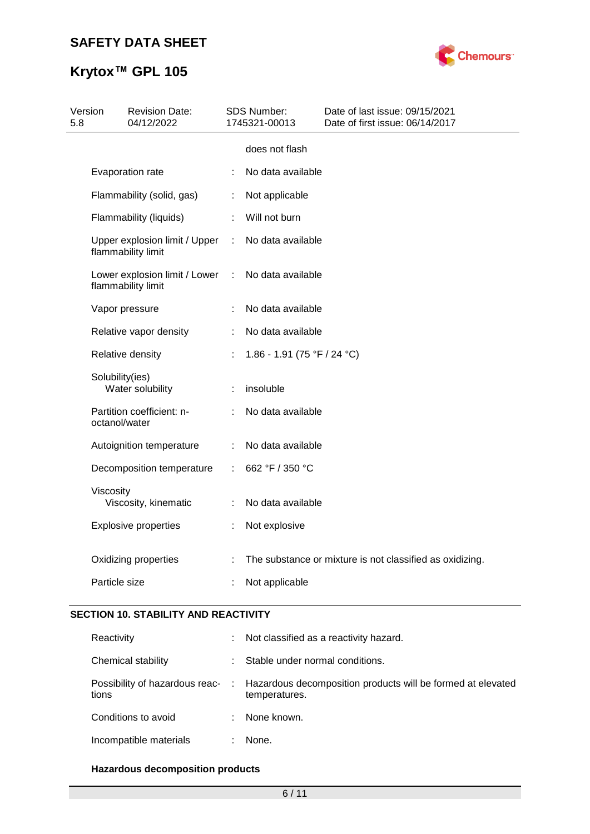# **Krytox™ GPL 105**



| 5.8 | Version         | <b>Revision Date:</b><br>04/12/2022                 |    | <b>SDS Number:</b><br>1745321-00013 | Date of last issue: 09/15/2021<br>Date of first issue: 06/14/2017 |
|-----|-----------------|-----------------------------------------------------|----|-------------------------------------|-------------------------------------------------------------------|
|     |                 |                                                     |    | does not flash                      |                                                                   |
|     |                 | Evaporation rate                                    |    | No data available                   |                                                                   |
|     |                 | Flammability (solid, gas)                           | ÷. | Not applicable                      |                                                                   |
|     |                 | Flammability (liquids)                              |    | Will not burn                       |                                                                   |
|     |                 | Upper explosion limit / Upper<br>flammability limit | ÷. | No data available                   |                                                                   |
|     |                 | Lower explosion limit / Lower<br>flammability limit | ÷  | No data available                   |                                                                   |
|     |                 | Vapor pressure                                      |    | No data available                   |                                                                   |
|     |                 | Relative vapor density                              | ÷  | No data available                   |                                                                   |
|     |                 | Relative density                                    |    | 1.86 - 1.91 (75 °F / 24 °C)         |                                                                   |
|     | Solubility(ies) | Water solubility                                    |    | insoluble                           |                                                                   |
|     | octanol/water   | Partition coefficient: n-                           |    | No data available                   |                                                                   |
|     |                 | Autoignition temperature                            |    | No data available                   |                                                                   |
|     |                 | Decomposition temperature                           | ÷. | 662 °F / 350 °C                     |                                                                   |
|     | Viscosity       | Viscosity, kinematic                                |    | No data available                   |                                                                   |
|     |                 | <b>Explosive properties</b>                         | ÷  | Not explosive                       |                                                                   |
|     |                 | Oxidizing properties                                |    |                                     | The substance or mixture is not classified as oxidizing.          |
|     | Particle size   |                                                     |    | Not applicable                      |                                                                   |

## **SECTION 10. STABILITY AND REACTIVITY**

| Reactivity             | ÷. | Not classified as a reactivity hazard.                                                                        |
|------------------------|----|---------------------------------------------------------------------------------------------------------------|
| Chemical stability     | ÷. | Stable under normal conditions.                                                                               |
| tions                  |    | Possibility of hazardous reac- : Hazardous decomposition products will be formed at elevated<br>temperatures. |
| Conditions to avoid    | ÷. | None known.                                                                                                   |
| Incompatible materials |    | None.                                                                                                         |

## **Hazardous decomposition products**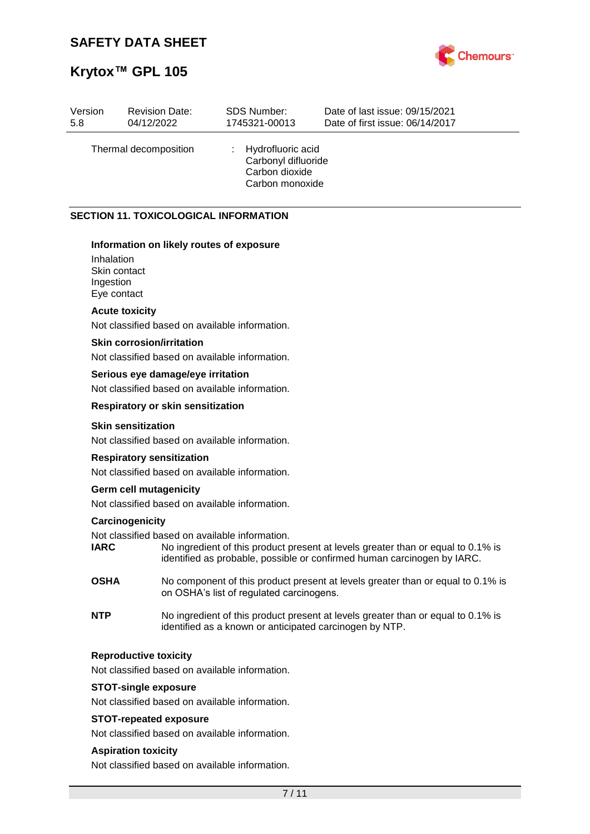



| Version | <b>Revision Date:</b> | <b>SDS Number:</b>                                                              | Date of last issue: 09/15/2021  |
|---------|-----------------------|---------------------------------------------------------------------------------|---------------------------------|
| 5.8     | 04/12/2022            | 1745321-00013                                                                   | Date of first issue: 06/14/2017 |
|         | Thermal decomposition | : Hydrofluoric acid<br>Carbonyl difluoride<br>Carbon dioxide<br>Carbon monoxide |                                 |

## **SECTION 11. TOXICOLOGICAL INFORMATION**

#### **Information on likely routes of exposure**

Inhalation Skin contact Ingestion Eye contact

#### **Acute toxicity**

Not classified based on available information.

## **Skin corrosion/irritation**

Not classified based on available information.

#### **Serious eye damage/eye irritation**

Not classified based on available information.

#### **Respiratory or skin sensitization**

#### **Skin sensitization**

Not classified based on available information.

#### **Respiratory sensitization**

Not classified based on available information.

#### **Germ cell mutagenicity**

Not classified based on available information.

#### **Carcinogenicity**

Not classified based on available information.

- **IARC** No ingredient of this product present at levels greater than or equal to 0.1% is identified as probable, possible or confirmed human carcinogen by IARC.
- **OSHA** No component of this product present at levels greater than or equal to 0.1% is on OSHA's list of regulated carcinogens.
- **NTP** No ingredient of this product present at levels greater than or equal to 0.1% is identified as a known or anticipated carcinogen by NTP.

#### **Reproductive toxicity**

Not classified based on available information.

#### **STOT-single exposure**

Not classified based on available information.

#### **STOT-repeated exposure**

Not classified based on available information.

#### **Aspiration toxicity**

Not classified based on available information.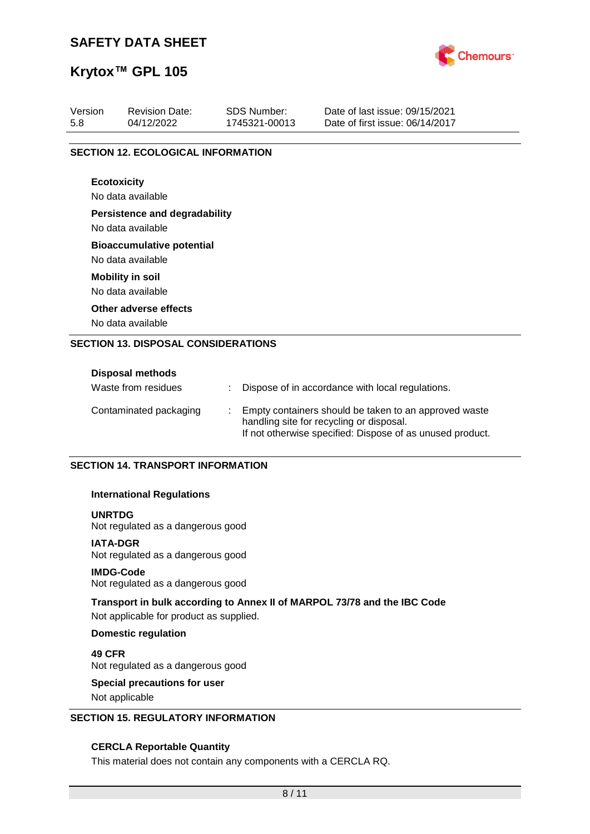

## **Krytox™ GPL 105**

| Version<br>5.8 | <b>Revision Date:</b><br>04/12/2022                   | <b>SDS Number:</b><br>1745321-00013 | Date of last issue: 09/15/2021<br>Date of first issue: 06/14/2017 |
|----------------|-------------------------------------------------------|-------------------------------------|-------------------------------------------------------------------|
|                | <b>SECTION 12. ECOLOGICAL INFORMATION</b>             |                                     |                                                                   |
|                | <b>Ecotoxicity</b><br>No data available               |                                     |                                                                   |
|                | <b>Persistence and degradability</b>                  |                                     |                                                                   |
|                | No data available                                     |                                     |                                                                   |
|                | <b>Bioaccumulative potential</b><br>No data available |                                     |                                                                   |
|                | <b>Mobility in soil</b><br>No data available          |                                     |                                                                   |
|                | Other adverse effects                                 |                                     |                                                                   |
|                | No data available                                     |                                     |                                                                   |
|                | <b>SECTION 13. DISPOSAL CONSIDERATIONS</b>            |                                     |                                                                   |
|                | Disposal methods                                      |                                     |                                                                   |

| PROPOSAL INCHIVAS      |  |                                                                                                                                                                |
|------------------------|--|----------------------------------------------------------------------------------------------------------------------------------------------------------------|
| Waste from residues    |  | Dispose of in accordance with local regulations.                                                                                                               |
| Contaminated packaging |  | Empty containers should be taken to an approved waste<br>handling site for recycling or disposal.<br>If not otherwise specified: Dispose of as unused product. |

### **SECTION 14. TRANSPORT INFORMATION**

#### **International Regulations**

#### **UNRTDG**

Not regulated as a dangerous good

## **IATA-DGR**

Not regulated as a dangerous good

#### **IMDG-Code**

Not regulated as a dangerous good

### **Transport in bulk according to Annex II of MARPOL 73/78 and the IBC Code**

Not applicable for product as supplied.

#### **Domestic regulation**

**49 CFR** Not regulated as a dangerous good

# **Special precautions for user**

Not applicable

## **SECTION 15. REGULATORY INFORMATION**

#### **CERCLA Reportable Quantity**

This material does not contain any components with a CERCLA RQ.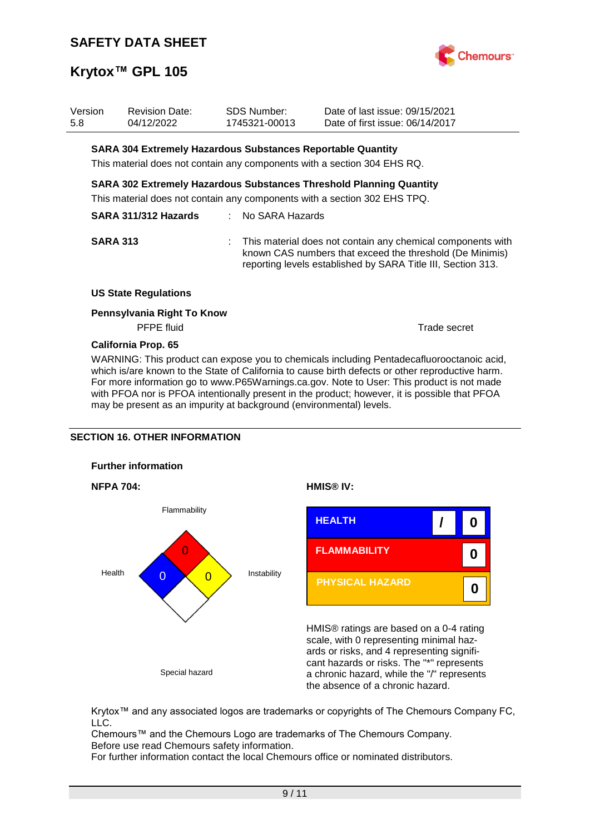

| Version<br>5.8 | <b>Revision Date:</b><br>04/12/2022                                | SDS Number:<br>1745321-00013 | Date of last issue: 09/15/2021<br>Date of first issue: 06/14/2017                                                                                                                         |
|----------------|--------------------------------------------------------------------|------------------------------|-------------------------------------------------------------------------------------------------------------------------------------------------------------------------------------------|
|                | <b>SARA 304 Extremely Hazardous Substances Reportable Quantity</b> |                              |                                                                                                                                                                                           |
|                |                                                                    |                              | This material does not contain any components with a section 304 EHS RQ.                                                                                                                  |
|                |                                                                    |                              | <b>SARA 302 Extremely Hazardous Substances Threshold Planning Quantity</b>                                                                                                                |
|                |                                                                    |                              | This material does not contain any components with a section 302 EHS TPQ.                                                                                                                 |
|                | SARA 311/312 Hazards                                               | : No SARA Hazards            |                                                                                                                                                                                           |
|                | <b>SARA 313</b>                                                    |                              | : This material does not contain any chemical components with<br>known CAS numbers that exceed the threshold (De Minimis)<br>reporting levels established by SARA Title III, Section 313. |
|                | <b>US State Regulations</b>                                        |                              |                                                                                                                                                                                           |
|                | Pennsylvania Right To Know<br><b>PFPE</b> fluid                    |                              | Trade secret                                                                                                                                                                              |
|                |                                                                    |                              |                                                                                                                                                                                           |

### **California Prop. 65**

WARNING: This product can expose you to chemicals including Pentadecafluorooctanoic acid, which is/are known to the State of California to cause birth defects or other reproductive harm. For more information go to www.P65Warnings.ca.gov. Note to User: This product is not made with PFOA nor is PFOA intentionally present in the product; however, it is possible that PFOA may be present as an impurity at background (environmental) levels.

### **SECTION 16. OTHER INFORMATION**









HMIS® ratings are based on a 0-4 rating scale, with 0 representing minimal hazards or risks, and 4 representing significant hazards or risks. The "\*" represents a chronic hazard, while the "/" represents the absence of a chronic hazard.

Krytox™ and any associated logos are trademarks or copyrights of The Chemours Company FC, LLC.

Chemours™ and the Chemours Logo are trademarks of The Chemours Company. Before use read Chemours safety information.

For further information contact the local Chemours office or nominated distributors.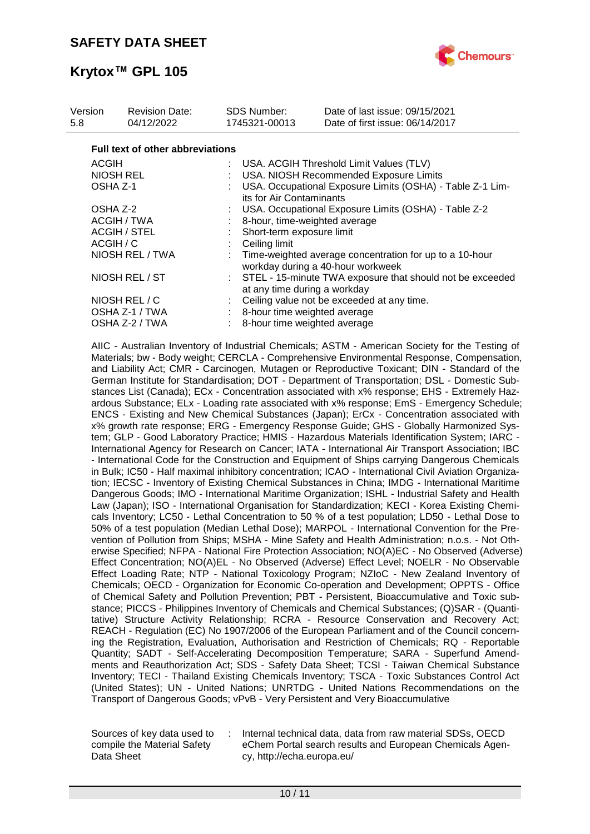

| Version<br>5.8  | <b>Revision Date:</b><br>04/12/2022     | SDS Number:<br>1745321-00013 | Date of last issue: 09/15/2021<br>Date of first issue: 06/14/2017                            |  |  |  |  |
|-----------------|-----------------------------------------|------------------------------|----------------------------------------------------------------------------------------------|--|--|--|--|
|                 | <b>Full text of other abbreviations</b> |                              |                                                                                              |  |  |  |  |
|                 | <b>ACGIH</b>                            |                              | : USA. ACGIH Threshold Limit Values (TLV)                                                    |  |  |  |  |
|                 | NIOSH REL                               |                              | USA. NIOSH Recommended Exposure Limits                                                       |  |  |  |  |
| OSHA Z-1        |                                         |                              | USA. Occupational Exposure Limits (OSHA) - Table Z-1 Lim-<br>its for Air Contaminants        |  |  |  |  |
|                 | OSHA Z-2                                |                              | USA. Occupational Exposure Limits (OSHA) - Table Z-2                                         |  |  |  |  |
|                 | ACGIH / TWA                             |                              | 8-hour, time-weighted average                                                                |  |  |  |  |
|                 | ACGIH / STEL                            |                              | Short-term exposure limit                                                                    |  |  |  |  |
|                 | ACGIH / C                               |                              | Ceiling limit                                                                                |  |  |  |  |
| NIOSH REL / TWA |                                         |                              | Time-weighted average concentration for up to a 10-hour<br>workday during a 40-hour workweek |  |  |  |  |
| NIOSH REL / ST  |                                         |                              | : STEL - 15-minute TWA exposure that should not be exceeded<br>at any time during a workday  |  |  |  |  |
|                 | NIOSH REL / C                           |                              | Ceiling value not be exceeded at any time.                                                   |  |  |  |  |
|                 | OSHA Z-1 / TWA                          |                              | 8-hour time weighted average                                                                 |  |  |  |  |
|                 | OSHA Z-2 / TWA                          |                              | 8-hour time weighted average                                                                 |  |  |  |  |
|                 |                                         |                              |                                                                                              |  |  |  |  |

AIIC - Australian Inventory of Industrial Chemicals; ASTM - American Society for the Testing of Materials; bw - Body weight; CERCLA - Comprehensive Environmental Response, Compensation, and Liability Act; CMR - Carcinogen, Mutagen or Reproductive Toxicant; DIN - Standard of the German Institute for Standardisation; DOT - Department of Transportation; DSL - Domestic Substances List (Canada); ECx - Concentration associated with x% response; EHS - Extremely Hazardous Substance; ELx - Loading rate associated with x% response; EmS - Emergency Schedule; ENCS - Existing and New Chemical Substances (Japan); ErCx - Concentration associated with x% growth rate response; ERG - Emergency Response Guide; GHS - Globally Harmonized System; GLP - Good Laboratory Practice; HMIS - Hazardous Materials Identification System; IARC - International Agency for Research on Cancer; IATA - International Air Transport Association; IBC - International Code for the Construction and Equipment of Ships carrying Dangerous Chemicals in Bulk; IC50 - Half maximal inhibitory concentration; ICAO - International Civil Aviation Organization; IECSC - Inventory of Existing Chemical Substances in China; IMDG - International Maritime Dangerous Goods; IMO - International Maritime Organization; ISHL - Industrial Safety and Health Law (Japan); ISO - International Organisation for Standardization; KECI - Korea Existing Chemicals Inventory; LC50 - Lethal Concentration to 50 % of a test population; LD50 - Lethal Dose to 50% of a test population (Median Lethal Dose); MARPOL - International Convention for the Prevention of Pollution from Ships; MSHA - Mine Safety and Health Administration; n.o.s. - Not Otherwise Specified; NFPA - National Fire Protection Association; NO(A)EC - No Observed (Adverse) Effect Concentration; NO(A)EL - No Observed (Adverse) Effect Level; NOELR - No Observable Effect Loading Rate; NTP - National Toxicology Program; NZIoC - New Zealand Inventory of Chemicals; OECD - Organization for Economic Co-operation and Development; OPPTS - Office of Chemical Safety and Pollution Prevention; PBT - Persistent, Bioaccumulative and Toxic substance; PICCS - Philippines Inventory of Chemicals and Chemical Substances; (Q)SAR - (Quantitative) Structure Activity Relationship; RCRA - Resource Conservation and Recovery Act; REACH - Regulation (EC) No 1907/2006 of the European Parliament and of the Council concerning the Registration, Evaluation, Authorisation and Restriction of Chemicals; RQ - Reportable Quantity; SADT - Self-Accelerating Decomposition Temperature; SARA - Superfund Amendments and Reauthorization Act; SDS - Safety Data Sheet; TCSI - Taiwan Chemical Substance Inventory; TECI - Thailand Existing Chemicals Inventory; TSCA - Toxic Substances Control Act (United States); UN - United Nations; UNRTDG - United Nations Recommendations on the Transport of Dangerous Goods; vPvB - Very Persistent and Very Bioaccumulative

Sources of key data used to compile the Material Safety Data Sheet

: Internal technical data, data from raw material SDSs, OECD eChem Portal search results and European Chemicals Agency, http://echa.europa.eu/